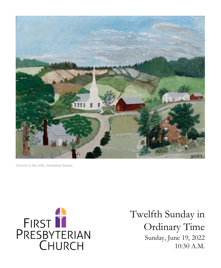

*Church in the Hills, Grandma Moses*



Twelfth Sunday in Ordinary Time Sunday, June 19, 2022 10:30 A.M.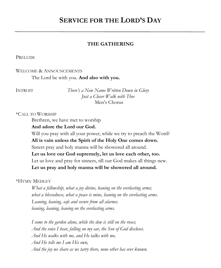## **SERVICE FOR THE LORD'S DAY**

## **THE GATHERING**

**PRELUDE** 

## WELCOME & ANNOUNCEMENTS The Lord be with you. **And also with you.**

INTROIT *There's a New Name Written Down in Glory Just a Closer Walk with Thee* Men's Chorus

#### \*CALL TO WORSHIP

Brethren, we have met to worship

#### **And adore the Lord our God.**

Will you pray with all your power, while we try to preach the Word? **All is vain unless the Spirit of the Holy One comes down.** Sisters pray and holy manna will be showered all around. **Let us love our God supremely, let us love each other, too.** Let us love and pray for sinners, till our God makes all things new. **Let us pray and holy manna will be showered all around.**

#### \*HYMN MEDLEY

*What a fellowship, what a joy divine, leaning on the everlasting arms; what a blessedness, what a peace is mine, leaning on the everlasting arms. Leaning, leaning, safe and secure from all alarms; leaning, leaning, leaning on the everlasting arms.* 

*I come to the garden alone, while the dew is still on the roses; And the voice I hear, falling on my ear, the Son of God discloses. And He walks with me, and He talks with me, And He tells me I am His own, And the joy we share as we tarry there, none other has ever known.*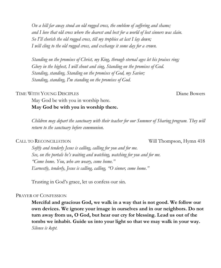*On a hill far away stood an old rugged cross, the emblem of suffering and shame; and I love that old cross where the dearest and best for a world of lost sinners was slain. So I'll cherish the old rugged cross, till my trophies at last I lay down; I will cling to the old rugged cross, and exchange it some day for a crown.*

*Standing on the promises of Christ, my King, through eternal ages let his praises ring; Glory in the highest, I will shout and sing, Standing on the promises of God. Standing, standing, Standing on the promises of God, my Savior; Standing, standing, I'm standing on the promises of God.*

#### TIME WITH YOUNG DISCIPLES Diane Bowers

May God be with you in worship here. **May God be with you in worship there.**

*Children may depart the sanctuary with their teacher for our Summer of Sharing program. They will return to the sanctuary before communion.*

#### CALL TO RECONCILIATION Will Thompson, Hymn 418

*Softly and tenderly Jesus is calling, calling for you and for me. See, on the portals he's waiting and watching, watching for you and for me. "Come home. You, who are weary, come home." Earnestly, tenderly, Jesus is calling, calling, "O sinner, come home."* 

Trusting in God's grace, let us confess our sin.

#### PRAYER OF CONFESSION

**Merciful and gracious God, we walk in a way that is not good. We follow our own devices. We ignore your image in ourselves and in our neighbors. Do not turn away from us, O God, but hear our cry for blessing. Lead us out of the tombs we inhabit. Guide us into your light so that we may walk in your way.**  *Silence is kept.*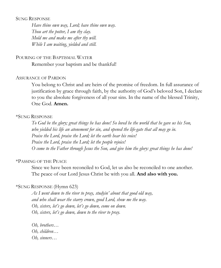#### SUNG RESPONSE

*Have thine own way, Lord; have thine own way. Thou art the potter, I am thy clay. Mold me and make me after thy will. While I am waiting, yielded and still.*

## POURING OF THE BAPTISMAL WATER Remember your baptism and be thankful!

#### ASSURANCE OF PARDON

You belong to Christ and are heirs of the promise of freedom. In full assurance of justification by grace through faith, by the authority of God's beloved Son, I declare to you the absolute forgiveness of all your sins. In the name of the blessed Trinity, One God. **Amen.**

#### \*SUNG RESPONSE

*To God be the glory; great things he has done! So loved he the world that he gave us his Son, who yielded his life an atonement for sin, and opened the life-gate that all may go in. Praise the Lord, praise the Lord; let the earth hear his voice! Praise the Lord, praise the Lord; let the people rejoice! O come to the Father through Jesus the Son, and give him the glory: great things he has done!*

#### \*PASSING OF THE PEACE

Since we have been reconciled to God, let us also be reconciled to one another. The peace of our Lord Jesus Christ be with you all. **And also with you.**

#### \*SUNG RESPONSE (Hymn 623)

*As I went down to the river to pray, studyin' about that good old way, and who shall wear the starry crown, good Lord, show me the way. Oh, sisters, let's go down, let's go down, come on down. Oh, sisters, let's go down, down to the river to pray.* 

*Oh, brothers… Oh, children… Oh, sinners…*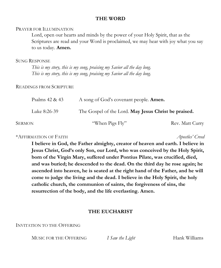## **THE WORD**

#### PRAYER FOR ILLUMINATION

Lord, open our hearts and minds by the power of your Holy Spirit, that as the Scriptures are read and your Word is proclaimed, we may hear with joy what you say to us today. **Amen.**

#### SUNG RESPONSE

*This is my story, this is my song, praising my Savior all the day long. This is my story, this is my song, praising my Savior all the day long.*

#### READINGS FROM SCRIPTURE

| Psalms 42 & 43 | A song of God's covenant people. <b>Amen.</b>        |                 |
|----------------|------------------------------------------------------|-----------------|
| Luke 8:26-39   | The Gospel of the Lord. May Jesus Christ be praised. |                 |
| SERMON         | "When Pigs Fly"                                      | Rev. Matt Curry |

#### \*AFFIRMATION OF FAITH *Apostles' Creed*

**I believe in God, the Father almighty, creator of heaven and earth. I believe in Jesus Christ, God's only Son, our Lord, who was conceived by the Holy Spirit, born of the Virgin Mary, suffered under Pontius Pilate, was crucified, died, and was buried; he descended to the dead. On the third day he rose again; he ascended into heaven, he is seated at the right hand of the Father, and he will come to judge the living and the dead. I believe in the Holy Spirit, the holy catholic church, the communion of saints, the forgiveness of sins, the resurrection of the body, and the life everlasting. Amen.**

## **THE EUCHARIST**

INVITATION TO THE OFFERING

MUSIC FOR THE OFFERING *I Saw the Light* Hank Williams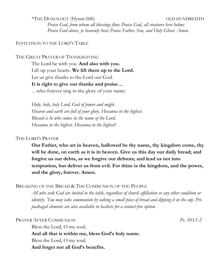\*THE DOXOLOGY (Hymn 606) OLD HUNDREDTH

*Praise God, from whom all blessings flow; Praise God, all creatures here below; Praise God above, ye heavenly host; Praise Father, Son, and Holy Ghost. Amen.*

#### INVITATION TO THE LORD'S TABLE

#### THE GREAT PRAYER OF THANKSGIVING

The Lord be with you. **And also with you.** Lift up your hearts. **We lift them up to the Lord.** Let us give thanks to the Lord our God. **It is right to give our thanks and praise…** …who forever sing to the glory of your name:

*Holy, holy, holy Lord, God of power and might. Heaven and earth are full of your glory. Hosanna in the highest. Blessed is he who comes in the name of the Lord. Hosanna in the highest. Hosanna in the highest!*

#### THE LORD'S PRAYER

**Our Father, who art in heaven, hallowed be thy name, thy kingdom come, thy will be done, on earth as it is in heaven. Give us this day our daily bread; and forgive us our debts, as we forgive our debtors; and lead us not into temptation, but deliver us from evil. For thine is the kingdom, and the power, and the glory, forever. Amen.**

#### BREAKING OF THE BREAD & THE COMMUNION OF THE PEOPLE

*All who seek God are invited to the table, regardless of church affiliation or any other condition or identity. You may take communion by taking a small piece of bread and dipping it in the cup. Prepackaged elements are also available in baskets for a contact-free option.*

## PRAYER AFTER COMMUNION *Ps. 103:1-2*

Bless the Lord, O my soul; **And all that is within me, bless God's holy name.** Bless the Lord, O my soul; **And forget not all God's benefits.**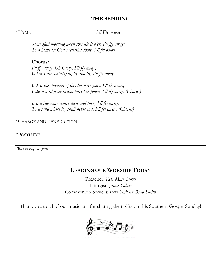## **THE SENDING**

\*HYMN *I'll Fly Away* 

*Some glad morning when this life is o'er, I'll fly away; To a home on God's celestial shore, I'll fly away.*

#### **Chorus:**

*I'll fly away, Oh Glory, I'll fly away; When I die, hallelujah, by and by, I'll fly away.*

*When the shadows of this life have gone, I'll fly away; Like a bird from prison bars has flown, I'll fly away. (Chorus)*

*Just a few more weary days and then, I'll fly away; To a land where joy shall never end, I'll fly away. (Chorus)* 

\*CHARGE AND BENEDICTION

\*POSTLUDE

*\*Rise in body or spirit*

## **LEADING OUR WORSHIP TODAY**

Preacher: *Rev. Matt Curry* Liturgist: *Janice Odom* Communion Servers: *Jerry Nail & Brad Smith* 

Thank you to all of our musicians for sharing their gifts on this Southern Gospel Sunday!